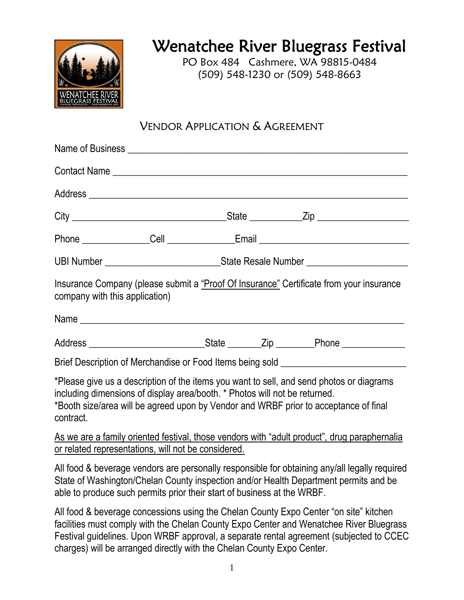

# Wenatchee River Bluegrass Festival

PO Box 484 Cashmere, WA 98815-0484 (509) 548-1230 or (509) 548-8663

## VENDOR APPLICATION & AGREEMENT

|                                                                                                                                                                                                                                                                             |                                                                                  | Phone ________________Cell ________________Email _______________________________              |
|-----------------------------------------------------------------------------------------------------------------------------------------------------------------------------------------------------------------------------------------------------------------------------|----------------------------------------------------------------------------------|-----------------------------------------------------------------------------------------------|
|                                                                                                                                                                                                                                                                             | UBI Number __________________________________State Resale Number _______________ |                                                                                               |
| Insurance Company (please submit a "Proof Of Insurance" Certificate from your insurance<br>company with this application)                                                                                                                                                   |                                                                                  |                                                                                               |
|                                                                                                                                                                                                                                                                             |                                                                                  |                                                                                               |
|                                                                                                                                                                                                                                                                             |                                                                                  |                                                                                               |
| Brief Description of Merchandise or Food Items being sold ______________________                                                                                                                                                                                            |                                                                                  |                                                                                               |
| *Please give us a description of the items you want to sell, and send photos or diagrams<br>including dimensions of display area/booth. * Photos will not be returned.<br>*Booth size/area will be agreed upon by Vendor and WRBF prior to acceptance of final<br>contract. |                                                                                  |                                                                                               |
| or related representations, will not be considered.                                                                                                                                                                                                                         |                                                                                  | As we are a family oriented festival, those vendors with "adult product", drug paraphernalia  |
| State of Washington/Chelan County inspection and/or Health Department permits and be<br>able to produce such permits prior their start of business at the WRBF.                                                                                                             |                                                                                  | All food & beverage vendors are personally responsible for obtaining any/all legally required |

All food & beverage concessions using the Chelan County Expo Center "on site" kitchen facilities must comply with the Chelan County Expo Center and Wenatchee River Bluegrass Festival guidelines. Upon WRBF approval, a separate rental agreement (subjected to CCEC charges) will be arranged directly with the Chelan County Expo Center.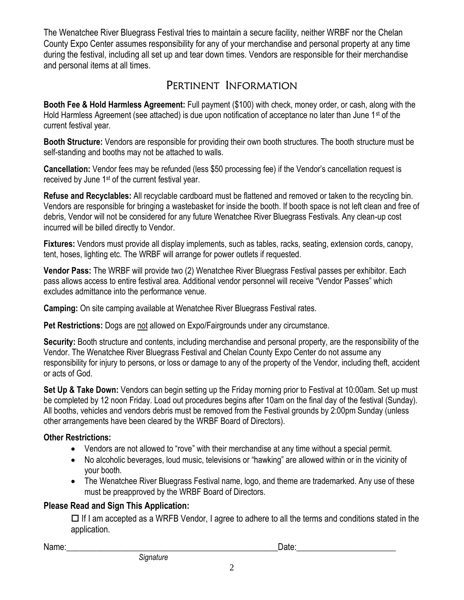The Wenatchee River Bluegrass Festival tries to maintain a secure facility, neither WRBF nor the Chelan County Expo Center assumes responsibility for any of your merchandise and personal property at any time during the festival, including all set up and tear down times. Vendors are responsible for their merchandise and personal items at all times.

### PERTINENT INFORMATION

**Booth Fee & Hold Harmless Agreement:** Full payment (\$100) with check, money order, or cash, along with the Hold Harmless Agreement (see attached) is due upon notification of acceptance no later than June 1<sup>st</sup> of the current festival year.

**Booth Structure:** Vendors are responsible for providing their own booth structures. The booth structure must be self-standing and booths may not be attached to walls.

**Cancellation:** Vendor fees may be refunded (less \$50 processing fee) if the Vendor's cancellation request is received by June 1st of the current festival year.

**Refuse and Recyclables:** All recyclable cardboard must be flattened and removed or taken to the recycling bin. Vendors are responsible for bringing a wastebasket for inside the booth. If booth space is not left clean and free of debris, Vendor will not be considered for any future Wenatchee River Bluegrass Festivals. Any clean-up cost incurred will be billed directly to Vendor.

**Fixtures:** Vendors must provide all display implements, such as tables, racks, seating, extension cords, canopy, tent, hoses, lighting etc. The WRBF will arrange for power outlets if requested.

**Vendor Pass:** The WRBF will provide two (2) Wenatchee River Bluegrass Festival passes per exhibitor. Each pass allows access to entire festival area. Additional vendor personnel will receive "Vendor Passes" which excludes admittance into the performance venue.

**Camping:** On site camping available at Wenatchee River Bluegrass Festival rates.

**Pet Restrictions:** Dogs are not allowed on Expo/Fairgrounds under any circumstance.

**Security:** Booth structure and contents, including merchandise and personal property, are the responsibility of the Vendor. The Wenatchee River Bluegrass Festival and Chelan County Expo Center do not assume any responsibility for injury to persons, or loss or damage to any of the property of the Vendor, including theft, accident or acts of God.

**Set Up & Take Down:** Vendors can begin setting up the Friday morning prior to Festival at 10:00am. Set up must be completed by 12 noon Friday. Load out procedures begins after 10am on the final day of the festival (Sunday). All booths, vehicles and vendors debris must be removed from the Festival grounds by 2:00pm Sunday (unless other arrangements have been cleared by the WRBF Board of Directors).

#### **Other Restrictions:**

- Vendors are not allowed to "rove" with their merchandise at any time without a special permit.
- No alcoholic beverages, loud music, televisions or "hawking" are allowed within or in the vicinity of your booth.
- The Wenatchee River Bluegrass Festival name, logo, and theme are trademarked. Any use of these must be preapproved by the WRBF Board of Directors.

#### **Please Read and Sign This Application:**

 $\Box$  If I am accepted as a WRFB Vendor, I agree to adhere to all the terms and conditions stated in the application.

Name:\_\_\_\_\_\_\_\_\_\_\_\_\_\_\_\_\_\_\_\_\_\_\_\_\_\_\_\_\_\_\_\_\_\_\_\_\_\_\_\_\_\_\_\_\_\_\_\_\_Date:\_\_\_\_\_\_\_\_\_\_\_\_\_\_\_\_\_\_\_\_\_\_\_

2